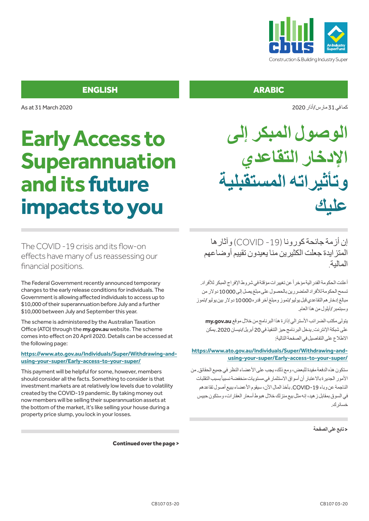

**الوصول المبكر إلى**

**اإلدخار التقاعدي**

**وتأثيراته المستقبلية**

كمافي31 مارس/أذار2020

**عليك**

### ENGLISH ARABIC

As at 31 March 2020

# **Early Access to Superannuation and its future impacts to you**

إن أزمة جائحةكورونا )-19 COVID )وآثارها المتزايدة جعلت الكثيرين منا يعيدون تقييم أوضاعهم المالية.

أعلنت الحكومة الفدر اليةمؤخر أ عن تغيير ات مؤقتة في شروط الإفر اج المبكر للأفر اد. تسمح الحكومة للأفراد المتضررين بالحصول على مبلغ يصل إلى 10000 دولار من مبالغ إدخار هم التقاعدي قبل يوليو/تموز ومبلغ آخر قدره 10000 دولار بين يوليو/تموز وسبتمبر /أيلول من هذا العام.

يتولى مكتب الضرائب الأسترالي إذارة هذا البرنامج من خلال موقع my.gov.au على شبكةاإلنترنت. يدخل البرنامجحيز التنفيذفي20 أبريل/نيسان.2020 يمكن الاطلاع على التفاصيل في الصفحة التالية:

#### **https://www.ato.gov.au/Individuals/Super/Withdrawing-andusing-your-super/Early-access-to-your-super/**

ستكون هذه الدفعة مفيدة للبعض، ومع ذلك، يجب على الأعضاء النظر في جميع الحقائق. من الأمور الجديرةبالاعتبار أن أسواق الاستثمار في مستويات منخفضةنسبيأبسبب التقلبات الناجمة عن وباء-19COVID. بأخذالمال اآلن، سيقوماألعضاء ببيع أصول تقاعدهم في السوق بمقابل ز هيد، إنه مثل بيع منزلك خلال هبوط أسعار العقار ات، وستكون حبيس خسائرك.

#### >**تابععلىالصفحة**

The COVID -19 crisis and its flow-on effects have many of us reassessing our financial positions.

The Federal Government recently announced temporary changes to the early release conditions for individuals. The Government is allowing affected individuals to access up to \$10,000 of their superannuation before July and a further \$10,000 between July and September this year.

The scheme is administered by the Australian Taxation Office (ATO) through the **my.gov.au** website. The scheme comes into effect on 20 April 2020. Details can be accessed at the following page:

#### **https://www.ato.gov.au/Individuals/Super/Withdrawing-andusing-your-super/Early-access-to-your-super/**

This payment will be helpful for some, however, members should consider all the facts. Something to consider is that investment markets are at relatively low levels due to volatility created by the COVID-19 pandemic. By taking money out now members will be selling their superannuation assets at the bottom of the market, it's like selling your house during a property price slump, you lock in your losses.

Continued over the page >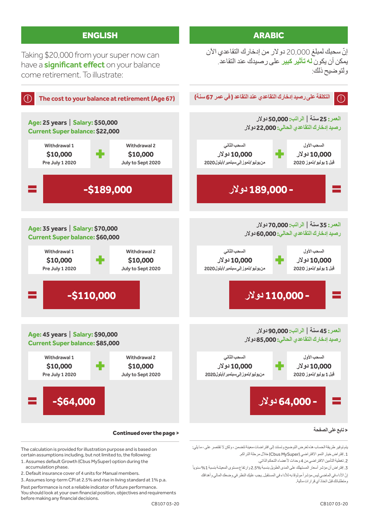

The calculation is provided for illustration purpose and is based on certain assumptions including, but not limited to, the following:

- 1. Assumes default Growth (Cbus MySuper) option during the accumulation phase.
- 2. Default insurance cover of 4 units for Manual members.
- 3. Assumes long-term CPI at 2.5% and rise in living standard at 1% p.a. Past performance is not a reliable indicator of future performance.

You should look at your own financial position, objectives and requirements before making any financial decisions.

ومتطلباتك قبل اتخاذ أي قرارات مالية.

1. إفتراض خيار النمو الافتراضي (Cbus MySuper) خلال مرحلة التراكم. 2. تغطية التأمين الافتراضيي من 4 وحدات لأعضاء التحكم الذاتي.

3. إفتراض أن مؤشر أسعار المستهلك على المدى الطويل بنسبة 2.5% وارتفاع مستوى المعيشة بنسبة 1% سنوياً إنّ الأداء في الماضـي ليس مؤشر أ موثو قا به للأداء في المستقبل. يجب عليك النظر في وضعك المالي و أهدافك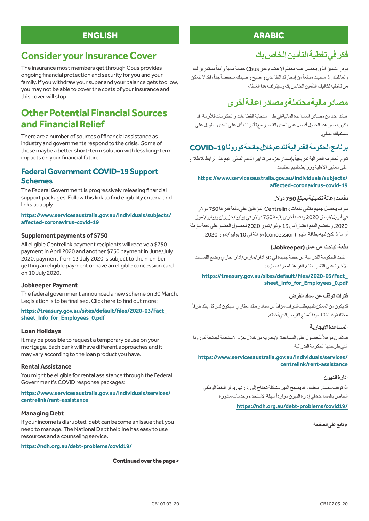### ENGLISH ARABIC

### **Consider your Insurance Cover**

The insurance most members get through Cbus provides ongoing financial protection and security for you and your family. If you withdraw your super and your balance gets too low, you may not be able to cover the costs of your insurance and this cover will stop.

### **Other Potential Financial Sources and Financial Relief**

There are a number of sources of financial assistance as industry and governments respond to the crisis. Some of these maybe a better short-term solution with less long-term impacts on your financial future.

### **Federal Government COVID-19 Support Schemes**

The Federal Government is progressively releasing financial support packages. Follow this link to find eligibility criteria and links to apply:

#### **https://www.servicesaustralia.gov.au/individuals/subjects/ affected-coronavirus-covid-19**

#### **Supplement payments of \$750**

All eligible Centrelink payment recipients will receive a \$750 payment in April 2020 and another \$750 payment in June/July 2020, payment from 13 July 2020 is subject to the member getting an eligible payment or have an eligible concession card on 10 July 2020.

#### **Jobkeeper Payment**

The federal government announced a new scheme on 30 March. Legislation is to be finalised. Click here to find out more:

#### **https://treasury.gov.au/sites/default/files/2020-03/Fact\_ sheet\_Info\_for\_Employees\_0.pdf**

#### **Loan Holidays**

It may be possible to request a temporary pause on your mortgage. Each bank will have different approaches and it may vary according to the loan product you have.

#### **Rental Assistance**

You might be eligible for rental assistance through the Federal Government's COVID response packages:

#### **https://www.servicesaustralia.gov.au/individuals/services/ centrelink/rent-assistance**

#### **Managing Debt**

If your income is disrupted, debt can become an issue that you need to manage. The National Debt helpline has easy to use resources and a counseling service.

**https://ndh.org.au/debt-problems/covid19/**

Continued over the page >

### **فكرفيتغطيةالتأمينالخاصبك**

يوفر التأمين الذي يحصل عليه معظم الأعضاء عبر Cbus حماية مالية وأمنأ مستمرين لك رلعائلتك. إذا سحبت مبالغاً من إدخارك التقاعدي و أصبح ر صيدك منخفضاً جداً، فقد لا تتمكن من تغطية تكاليف التأمين الخاص يك وسيتوقف هذا الغطاء.

### **مصادرماليةمحتملةومصادرإعانةأخرى**

هناك عدد من مصـادر المساعدة الماليةفي ظل استجابة القطاعات والحكو مات للأز مة. قد يكون بعض هذه الحلول أفضل على المدى القصير مع تأثير ات أقل على المدى الطويل على مستقبلكالمالي.

### **برنامجالحكومةالفدراليةللدعمخاللجائحةكورونا-19COVID**

نقوم الحكومة الفدر الية تدريجيأ بإصدار حِزم من تدابير الدعم المالي. اتبع هذا الر ابط للاطلاع على معايير الأهليةوروابط تقديم الطلبات:

#### **https://www.servicesaustralia.gov.au/individuals/subjects/ affected-coronavirus-covid-19**

#### **دفعاتإعانة تكميلية بمبلغ750 دوالر**

سوف يحصل جميع متلقي دفعات Centrelink المؤ هلين على دفعة قدر ها 750 دوالار في أبريل/نيسان 2020 ودفعة أخرى بقيمة 750 دولار في يونيو /حزير ان ويوليو /تموز 2020. ويخضع الدفع اعتبار أمن 13 يوليو /تموز 2020 لحصول العضو على دفعةمؤهلة أو ما إذاكان لديهبطاقةامتياز )concession)مؤهلةفي10 يوليو/تموز.2020

#### **دفعة الباحثعن عمل )Jobkeeper)**

أعلنت الحكومة الفدر الية عن خطة جديدة في 30 آذار /مارس/آذار. جاري وضع اللمسات الأخير ة على التشر يعات. انقر هنا لمعر فة المزيد:

#### **https://treasury.gov.au/sites/default/files/2020-03/Fact\_ sheet\_Info\_for\_Employees\_0.pdf**

#### فترات توقف عن سداد القرض

قديكون من الممكن تقديم طلب للتوقف مؤقتاً عن سدادر هنك العقاري. سيكون لدى كل بنك طرقاً مختلفةوقد تختلف وفقألمنتج القرض الذي أخذته

#### **المساعدةاإليجارية**

قد تكون مؤهلاً للحصول على المساعدة الإيجارية من خلال حِزم الاستجابة لجائحة كورونا التيطرحتهاالحكومةالفدرالية:

#### **https://www.servicesaustralia.gov.au/individuals/services/ centrelink/rent-assistance**

#### **إدارةالديون**

إذا توقفمصدر دخلك،قديصبح الدين مشكلةتحتاجإلىإدارتها. يوفر الخطالوطني الخاص بالمساعدة في إدارة الديون موارداً سهلة الاستخدام وخدمات مشورة.

#### **https://ndh.org.au/debt-problems/covid19/**

>**تابععلىالصفحة**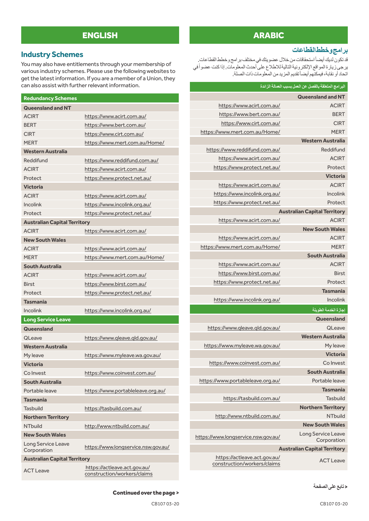### ENGLISH ARABIC

### **Industry Schemes**

You may also have entitlements through your membership of various industry schemes. Please use the following websites to get the latest information. If you are a member of a Union, they can also assist with further relevant information.

| <b>Redundancy Schemes</b>           |                                                             |
|-------------------------------------|-------------------------------------------------------------|
| <b>Queensland and NT</b>            |                                                             |
| <b>ACIRT</b>                        | https://www.acirt.com.au/                                   |
| <b>BERT</b>                         | https://www.bert.com.au/                                    |
| <b>CIRT</b>                         | https://www.cirt.com.au/                                    |
| <b>MFRT</b>                         | https://www.mert.com.au/Home/                               |
| <b>Western Australia</b>            |                                                             |
| Reddifund                           | https://www.reddifund.com.au/                               |
| <b>ACIRT</b>                        | https://www.acirt.com.au/                                   |
| Protect                             | https://www.protect.net.au/                                 |
| <b>Victoria</b>                     |                                                             |
| <b>ACIRT</b>                        | https://www.acirt.com.au/                                   |
| <b>Incolink</b>                     | https://www.incolink.org.au/                                |
| Protect                             | https://www.protect.net.au/                                 |
| <b>Australian Capital Territory</b> |                                                             |
| <b>ACIRT</b>                        | https://www.acirt.com.au/                                   |
| <b>New South Wales</b>              |                                                             |
| <b>ACIRT</b>                        | https://www.acirt.com.au/                                   |
| <b>MERT</b>                         | https://www.mert.com.au/Home/                               |
| South Australia                     |                                                             |
| <b>ACIRT</b>                        | https://www.acirt.com.au/                                   |
| <b>Birst</b>                        | https://www.birst.com.au/                                   |
| Protect                             | https://www.protect.net.au/                                 |
| <b>Tasmania</b>                     |                                                             |
| <b>Incolink</b>                     | https://www.incolink.org.au/                                |
| <b>Long Service Leave</b>           |                                                             |
| Queensland                          |                                                             |
| QLeave                              | https://www.gleave.gld.gov.au/                              |
| <b>Western Australia</b>            |                                                             |
| My leave                            | https://www.myleave.wa.gov.au/                              |
| <b>Victoria</b>                     |                                                             |
| Co Invest                           | https://www.coinvest.com.au/                                |
| South Australia                     |                                                             |
| Portable leave                      | https://www.portableleave.org.au/                           |
| Tasmania                            |                                                             |
| Tasbuild                            | https://tasbuild.com.au/                                    |
| <b>Northern Territory</b>           |                                                             |
| <b>NTbuild</b>                      | http://www.ntbuild.com.au/                                  |
| <b>New South Wales</b>              |                                                             |
| Long Service Leave<br>Corporation   | https://www.longservice.nsw.gov.au/                         |
| <b>Australian Capital Territory</b> |                                                             |
| <b>ACT Leave</b>                    | https://actleave.act.gov.au/<br>construction/workers/claims |

#### **برامجوخططالقطاعات**

قد تكون لديك أيضـاً استحقاقات من خلال عضويتك في مختلف بر امج وخطط القطاعات. يرجىزيارة المواقع الإلكترونية التاليةللاطلاع على أحدث المعلومات. إذاكنت عضوأفي اتحاد أو نقابة، فيمكنهم أيضـاً تقديم المزيد من المعلومات ذات الصلة.

### **البرامج المتعلقة بالفصل عن العمل بسبب العمالة الزائدة Queensland and NT** https://www.acirt.com.au/ ACIRT https://www.bert.com.au/ BERT https://www.cirt.com.au/ CIRT https://www.mert.com.au/Home/ MERT **Western Australia** https://www.reddifund.com.au/ Reddifund https://www.acirt.com.au/ ACIRT https://www.protect.net.au/ Protect **Victoria** https://www.acirt.com.au/ ACIRT https://www.incolink.org.au/ Incolink https://www.protect.net.au/ Protect **Australian Capital Territory**  https://www.acirt.com.au/ ACIRT **New South Wales** https://www.acirt.com.au/ ACIRT https://www.mert.com.au/Home/ MERT **South Australia** https://www.acirt.com.au/ ACIRT https://www.birst.com.au/ Birst https://www.protect.net.au/ Protect **Tasmania** https://www.incolink.org.au/ Incolink **إجازة الخدمة الطويلة Queensland** https://www.qleave.qld.gov.au/ QLeave **Western Australia** https://www.myleave.wa.gov.au/ My leave **Victoria** https://www.coinvest.com.au/ Co Invest **South Australia** https://www.portableleave.org.au/ Portable leave **Tasmania** https://tasbuild.com.au/ Tasbuild **Northern Territory** http://www.ntbuild.com.au/ NTbuild **New South Wales** Long Service Leave<br>Corporation https://www.longservice.nsw.gov.au/ **Australian Capital Territory**

https://actleave.act.gov.au/<br>ACT Leave construction/workers/claims

>**تابععلىالصفحة**